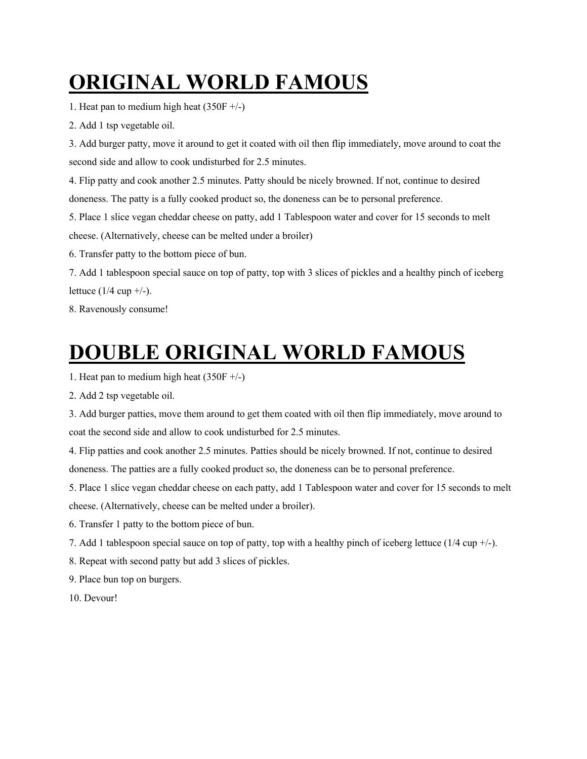# **ORIGINAL WORLD FAMOUS**

1. Heat pan to medium high heat  $(350F +/-)$ 

2. Add 1 tsp vegetable oil.

3. Add burger patty, move it around to get it coated with oil then flip immediately, move around to coat the second side and allow to cook undisturbed for 2.5 minutes.

4. Flip patty and cook another 2.5 minutes. Patty should be nicely browned. If not, continue to desired doneness. The patty is a fully cooked product so, the doneness can be to personal preference.

5. Place 1 slice vegan cheddar cheese on patty, add 1 Tablespoon water and cover for 15 seconds to melt cheese. (Alternatively, cheese can be melted under a broiler)

6. Transfer patty to the bottom piece of bun.

7. Add 1 tablespoon special sauce on top of patty, top with 3 slices of pickles and a healthy pinch of iceberg lettuce  $(1/4$  cup  $+/-$ ).

8. Ravenously consume!

## **DOUBLE ORIGINAL WORLD FAMOUS**

1. Heat pan to medium high heat  $(350F +/-)$ 

2. Add 2 tsp vegetable oil.

3. Add burger patties, move them around to get them coated with oil then flip immediately, move around to coat the second side and allow to cook undisturbed for 2.5 minutes.

4. Flip patties and cook another 2.5 minutes. Patties should be nicely browned. If not, continue to desired doneness. The patties are a fully cooked product so, the doneness can be to personal preference.

5. Place 1 slice vegan cheddar cheese on each patty, add 1 Tablespoon water and cover for 15 seconds to melt cheese. (Alternatively, cheese can be melted under a broiler).

6. Transfer 1 patty to the bottom piece of bun.

7. Add 1 tablespoon special sauce on top of patty, top with a healthy pinch of iceberg lettuce (1/4 cup +/-).

8. Repeat with second patty but add 3 slices of pickles.

9. Place bun top on burgers.

10. Devour!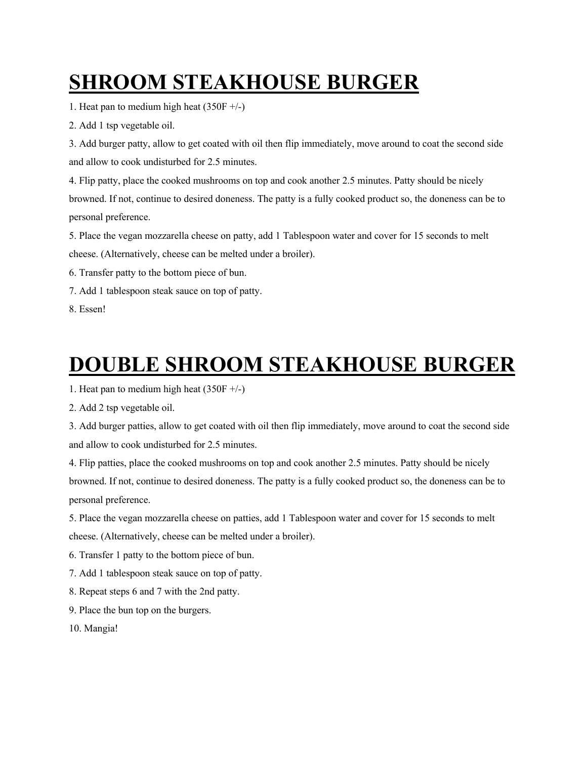# **SHROOM STEAKHOUSE BURGER**

1. Heat pan to medium high heat  $(350F +/-)$ 

2. Add 1 tsp vegetable oil.

3. Add burger patty, allow to get coated with oil then flip immediately, move around to coat the second side and allow to cook undisturbed for 2.5 minutes.

4. Flip patty, place the cooked mushrooms on top and cook another 2.5 minutes. Patty should be nicely browned. If not, continue to desired doneness. The patty is a fully cooked product so, the doneness can be to personal preference.

5. Place the vegan mozzarella cheese on patty, add 1 Tablespoon water and cover for 15 seconds to melt cheese. (Alternatively, cheese can be melted under a broiler).

- 6. Transfer patty to the bottom piece of bun.
- 7. Add 1 tablespoon steak sauce on top of patty.

8. Essen!

#### **DOUBLE SHROOM STEAKHOUSE BURGER**

1. Heat pan to medium high heat  $(350F +/-)$ 

2. Add 2 tsp vegetable oil.

3. Add burger patties, allow to get coated with oil then flip immediately, move around to coat the second side and allow to cook undisturbed for 2.5 minutes.

4. Flip patties, place the cooked mushrooms on top and cook another 2.5 minutes. Patty should be nicely browned. If not, continue to desired doneness. The patty is a fully cooked product so, the doneness can be to personal preference.

5. Place the vegan mozzarella cheese on patties, add 1 Tablespoon water and cover for 15 seconds to melt cheese. (Alternatively, cheese can be melted under a broiler).

6. Transfer 1 patty to the bottom piece of bun.

7. Add 1 tablespoon steak sauce on top of patty.

- 8. Repeat steps 6 and 7 with the 2nd patty.
- 9. Place the bun top on the burgers.
- 10. Mangia!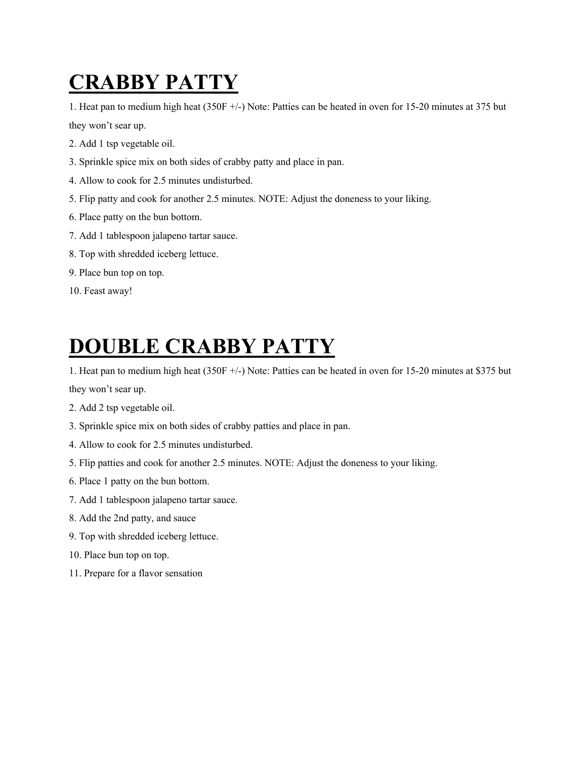## **CRABBY PATTY**

1. Heat pan to medium high heat (350F +/-) Note: Patties can be heated in oven for 15-20 minutes at 375 but

they won't sear up.

- 2. Add 1 tsp vegetable oil.
- 3. Sprinkle spice mix on both sides of crabby patty and place in pan.
- 4. Allow to cook for 2.5 minutes undisturbed.
- 5. Flip patty and cook for another 2.5 minutes. NOTE: Adjust the doneness to your liking.
- 6. Place patty on the bun bottom.
- 7. Add 1 tablespoon jalapeno tartar sauce.
- 8. Top with shredded iceberg lettuce.
- 9. Place bun top on top.
- 10. Feast away!

#### **DOUBLE CRABBY PATTY**

1. Heat pan to medium high heat (350F +/-) Note: Patties can be heated in oven for 15-20 minutes at \$375 but they won't sear up.

- 2. Add 2 tsp vegetable oil.
- 3. Sprinkle spice mix on both sides of crabby patties and place in pan.
- 4. Allow to cook for 2.5 minutes undisturbed.
- 5. Flip patties and cook for another 2.5 minutes. NOTE: Adjust the doneness to your liking.
- 6. Place 1 patty on the bun bottom.
- 7. Add 1 tablespoon jalapeno tartar sauce.
- 8. Add the 2nd patty, and sauce
- 9. Top with shredded iceberg lettuce.
- 10. Place bun top on top.
- 11. Prepare for a flavor sensation